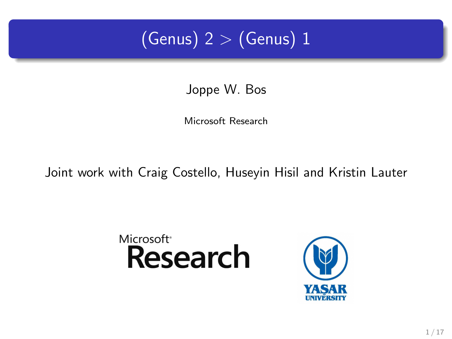# (Genus)  $2 >$  (Genus) 1

Joppe W. Bos

Microsoft Research

Joint work with Craig Costello, Huseyin Hisil and Kristin Lauter

## Microsoft<sup>®</sup> **Research**

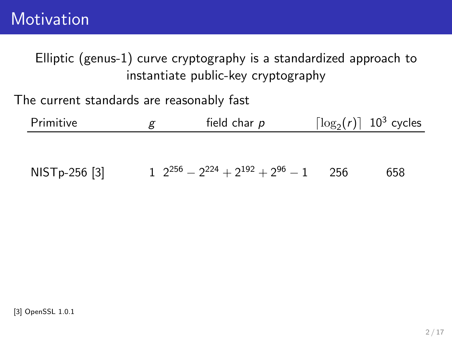Elliptic (genus-1) curve cryptography is a standardized approach to instantiate public-key cryptography

The current standards are reasonably fast

| Primitive     | g | field char p                                   |     | $\lceil \log_2(r) \rceil$ 10 <sup>3</sup> cycles |
|---------------|---|------------------------------------------------|-----|--------------------------------------------------|
|               |   |                                                |     |                                                  |
| NISTp-256 [3] |   | $1^{2^{256}} - 2^{224} + 2^{192} + 2^{96} - 1$ | 256 | 658                                              |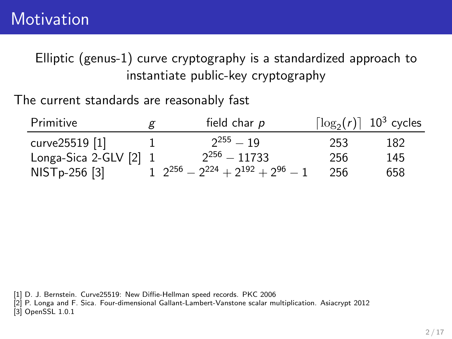Elliptic (genus-1) curve cryptography is a standardized approach to instantiate public-key cryptography

The current standards are reasonably fast

| Primitive                | g | field char p                                |     | $\lceil \log_2(r) \rceil$ 10 <sup>3</sup> cycles |
|--------------------------|---|---------------------------------------------|-----|--------------------------------------------------|
| curve25519 [1]           |   | $2^{255} - 19$                              | 253 | 182                                              |
| Longa-Sica 2-GLV $[2]$ 1 |   | $2^{256}$ - 11733                           | 256 | 145                                              |
| NISTp-256 [3]            |   | $1^{9256} - 2^{224} + 2^{192} + 2^{96} - 1$ | 256 | 658                                              |

[1] D. J. Bernstein. Curve25519: New Diffie-Hellman speed records. PKC 2006

[2] P. Longa and F. Sica. Four-dimensional Gallant-Lambert-Vanstone scalar multiplication. Asiacrypt 2012 [3] OpenSSL 1.0.1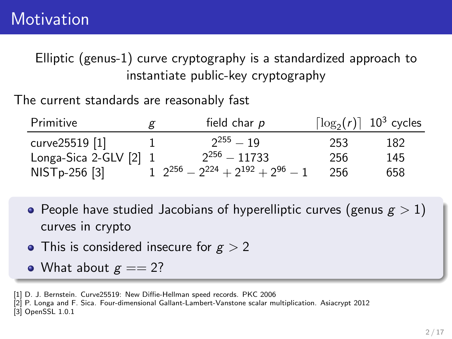Elliptic (genus-1) curve cryptography is a standardized approach to instantiate public-key cryptography

The current standards are reasonably fast

| Primitive                | g | field char p                                   |     | $\lceil \log_2(r) \rceil$ 10 <sup>3</sup> cycles |
|--------------------------|---|------------------------------------------------|-----|--------------------------------------------------|
| curve25519 [1]           |   | $2^{255} - 19$                                 | 253 | 182                                              |
| Longa-Sica 2-GLV $[2]$ 1 |   | $2^{256}$ - 11733                              | 256 | 145                                              |
| NISTp-256 [3]            |   | $1^{2^{256}} - 2^{224} + 2^{192} + 2^{96} - 1$ | 256 | 658                                              |

- People have studied Jacobians of hyperelliptic curves (genus  $g > 1$ ) curves in crypto
- This is considered insecure for  $g > 2$
- What about  $g == 2?$

<sup>[1]</sup> D. J. Bernstein. Curve25519: New Diffie-Hellman speed records. PKC 2006

<sup>[2]</sup> P. Longa and F. Sica. Four-dimensional Gallant-Lambert-Vanstone scalar multiplication. Asiacrypt 2012 [3] OpenSSL 1.0.1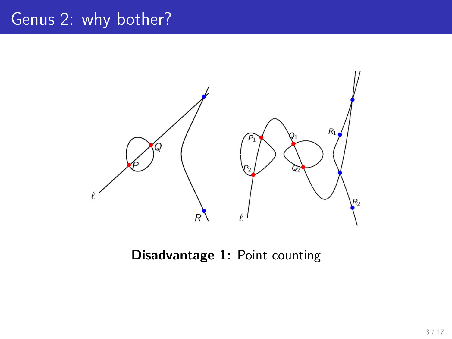

#### Disadvantage 1: Point counting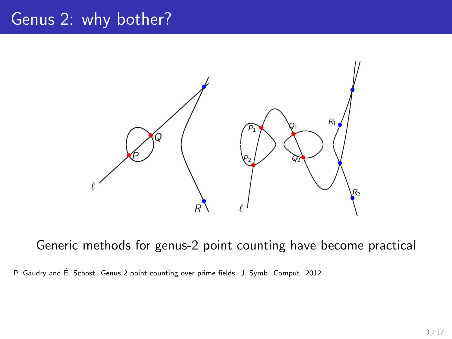

Generic methods for genus-2 point counting have become practical

P. Gaudry and É. Schost. Genus 2 point counting over prime fields. J. Symb. Comput. 2012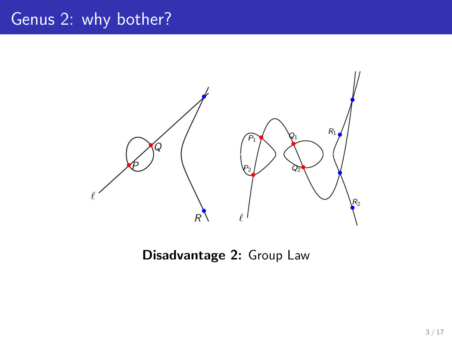

#### Disadvantage 2: Group Law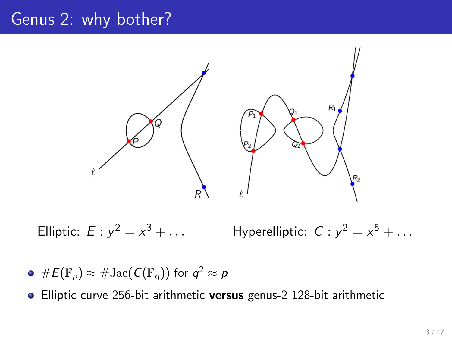

Elliptic:  $E : y^2 = x$  $3 + \ldots$  Hyperelliptic:  $C : y^2 = x^5 + \ldots$ 

 $\#E(\mathbb{F}_p) \approx \# \mathrm{Jac}(\, C(\mathbb{F}_q))$  for  $q^2 \approx p$ 

Elliptic curve 256-bit arithmetic versus genus-2 128-bit arithmetic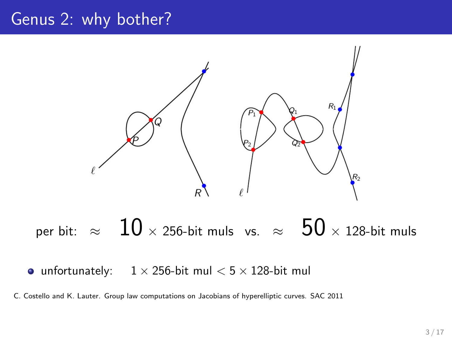

C. Costello and K. Lauter. Group law computations on Jacobians of hyperelliptic curves. SAC 2011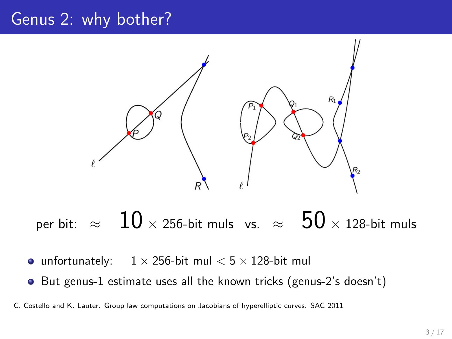

per bit:  $\approx$   $10$   $\times$  256-bit muls vs.  $\approx$   $50$   $\times$  128-bit muls

• unfortunately:  $1 \times 256$ -bit mul  $< 5 \times 128$ -bit mul

• But genus-1 estimate uses all the known tricks (genus-2's doesn't)

C. Costello and K. Lauter. Group law computations on Jacobians of hyperelliptic curves. SAC 2011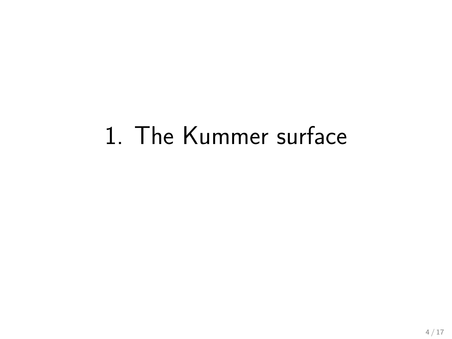# 1. The Kummer surface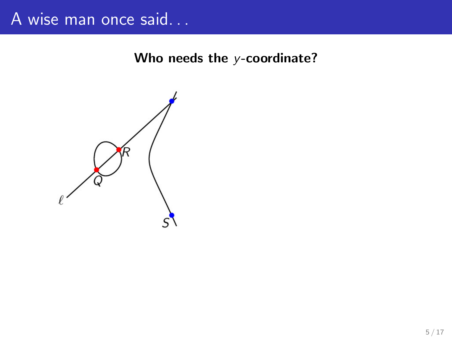### A wise man once said. . .

Who needs the y-coordinate?

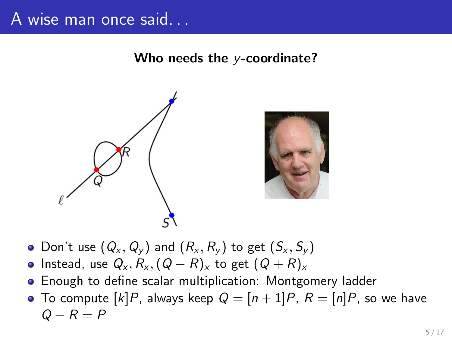### A wise man once said. . .

Who needs the y-coordinate?



- Don't use  $(Q_x, Q_y)$  and  $(R_x, R_y)$  to get  $(S_x, S_y)$
- $\bullet$  Instead, use  $Q_{x}, R_{x}, (Q R)_{x}$  to get  $(Q + R)_{x}$
- Enough to define scalar multiplication: Montgomery ladder
- To compute  $[k]P$ , always keep  $Q = [n+1]P$ ,  $R = [n]P$ , so we have  $Q - R = P$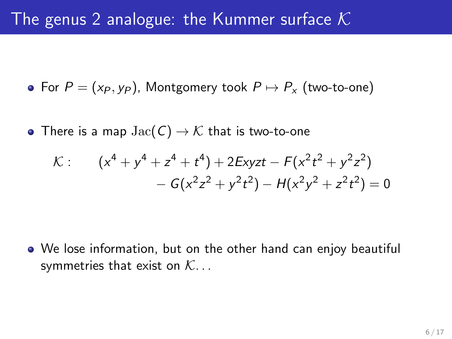• For  $P = (x_P, y_P)$ , Montgomery took  $P \mapsto P_x$  (two-to-one)

• There is a map  $Jac(C) \to K$  that is two-to-one

$$
\mathcal{K}: \qquad (x^4 + y^4 + z^4 + t^4) + 2Exyzt - F(x^2t^2 + y^2z^2) \\ - G(x^2z^2 + y^2t^2) - H(x^2y^2 + z^2t^2) = 0
$$

We lose information, but on the other hand can enjoy beautiful symmetries that exist on  $K_{\cdots}$ .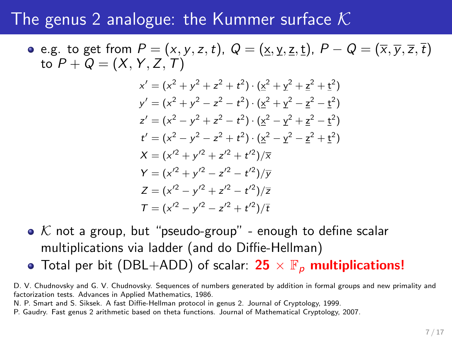### The genus 2 analogue: the Kummer surface  $K$

e.g. to get from  $P = (x, y, z, t)$ ,  $Q = (x, y, z, t)$ ,  $P - Q = (\overline{x}, \overline{y}, \overline{z}, \overline{t})$ to  $P + Q = (X, Y, Z, T)$ 

> $x' = (x^2 + y^2 + z^2 + t^2) \cdot (\underline{x}^2 + \underline{y}^2 + \underline{z}^2 + \underline{t}^2)$  $y' = (x^2 + y^2 - z^2 - t^2) \cdot (\underline{x}^2 + \underline{y}^2 - \underline{z}^2 - \underline{t}^2)$  $z' = (x^2 - y^2 + z^2 - t^2) \cdot (\underline{x}^2 - \underline{y}^2 + \underline{z}^2 - \underline{t}^2)$  $t' = (x^2 - y^2 - z^2 + t^2) \cdot (\underline{x}^2 - \underline{y}^2 - \underline{z}^2 + \underline{t}^2)$  $X = (x'^2 + y'^2 + z'^2 + t'^2)/\overline{x}$  $Y = (x'^2 + y'^2 - z'^2 - t'^2)/\overline{y}$  $Z = (x'^2 - y'^2 + z'^2 - t'^2)/\overline{z}$  $T = (x'^2 - y'^2 - z'^2 + t'^2)/\bar{t}$

- $\bullet$  K not a group, but "pseudo-group" enough to define scalar multiplications via ladder (and do Diffie-Hellman)
- Total per bit (DBL+ADD) of scalar:  $25 \times \mathbb{F}_p$  multiplications!

D. V. Chudnovsky and G. V. Chudnovsky. Sequences of numbers generated by addition in formal groups and new primality and factorization tests. Advances in Applied Mathematics, 1986.

N. P. Smart and S. Siksek. A fast Diffie-Hellman protocol in genus 2. Journal of Cryptology, 1999.

P. Gaudry. Fast genus 2 arithmetic based on theta functions. Journal of Mathematical Cryptology, 2007.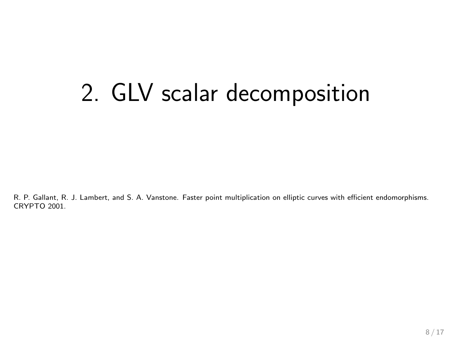# 2. GLV scalar decomposition

R. P. Gallant, R. J. Lambert, and S. A. Vanstone. Faster point multiplication on elliptic curves with efficient endomorphisms. CRYPTO 2001.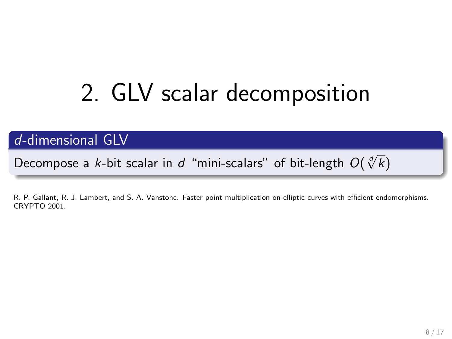# 2. GLV scalar decomposition

d-dimensional GLV

Decompose a *k-*bit scalar in  $d$  "mini-scalars" of bit-length  $O(\sqrt[d]{k})$ 

R. P. Gallant, R. J. Lambert, and S. A. Vanstone. Faster point multiplication on elliptic curves with efficient endomorphisms. CRYPTO 2001.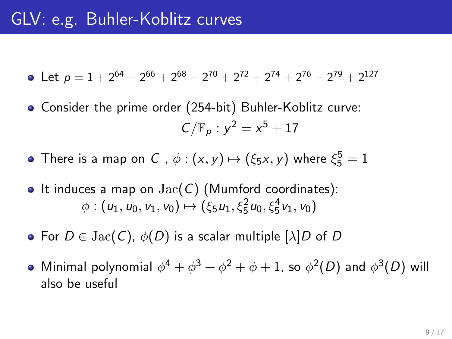- Let  $p = 1 + 2^{64} 2^{66} + 2^{68} 2^{70} + 2^{72} + 2^{74} + 2^{76} 2^{79} + 2^{127}$
- Consider the prime order (254-bit) Buhler-Koblitz curve:  $C/\mathbb{F}_p : y^2 = x^5 + 17$
- There is a map on  $C$  ,  $\phi : (x, y) \mapsto (\xi_5x, y)$  where  $\xi_5^5 = 1$
- It induces a map on  $Jac(C)$  (Mumford coordinates):  $\phi$  :  $(u_1, u_0, v_1, v_0) \mapsto (\xi_5 u_1, \xi_5^2 u_0, \xi_5^4 v_1, v_0)$
- For  $D \in \text{Jac}(C)$ ,  $\phi(D)$  is a scalar multiple  $[\lambda]D$  of D
- Minimal polynomial  $\phi^4 + \phi^3 + \phi^2 + \phi + 1$ , so  $\phi^2(D)$  and  $\phi^3(D)$  will also be useful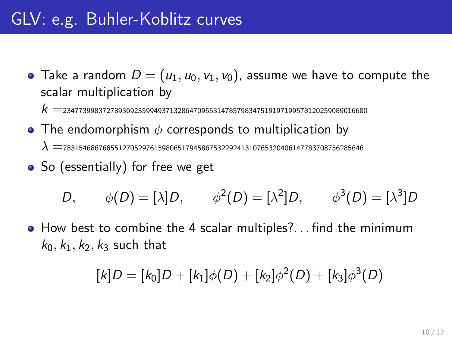• Take a random  $D = (u_1, u_0, v_1, v_0)$ , assume we have to compute the scalar multiplication by

 $k =$ 23477399837278936923599493713286470955314785798347519197199578120259089016680

• The endomorphism  $\phi$  corresponds to multiplication by

 $\lambda=$ 7831546867685512705297615980651794586753229241310765320406147783708756285646

• So (essentially) for free we get

D,  $\phi(D) = [\lambda]D$ ,  $\phi^2(D) = [\lambda^2]D$ ,  $\phi^3(D) = [\lambda^3]D$ 

• How best to combine the 4 scalar multiples?... find the minimum  $k_0, k_1, k_2, k_3$  such that

$$
[k]D = [k_0]D + [k_1]\phi(D) + [k_2]\phi^2(D) + [k_3]\phi^3(D)
$$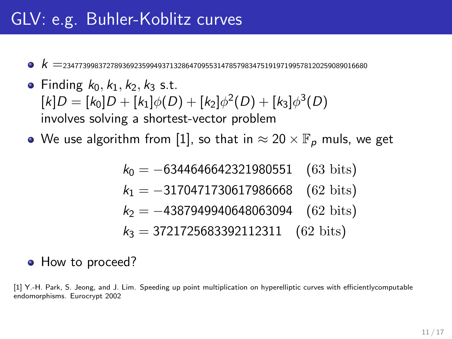- k =<sup>23477399837278936923599493713286470955314785798347519197199578120259089016680</sup>
- **•** Finding  $k_0, k_1, k_2, k_3$  s.t.  $[k]D = [k_0]D + [k_1]\phi(D) + [k_2]\phi^2(D) + [k_3]\phi^3(D)$ involves solving a shortest-vector problem
- We use algorithm from [1], so that in  $\approx 20 \times \mathbb{F}_p$  muls, we get

 $k_0 = -6344646642321980551$  (63 bits)  $k_1 = -3170471730617986668$  (62 bits)  $k_2 = -4387949940648063094$  (62 bits)  $k_3$  = 3721725683392112311 (62 bits)

#### • How to proceed?

[1] Y.-H. Park, S. Jeong, and J. Lim. Speeding up point multiplication on hyperelliptic curves with efficientlycomputable endomorphisms. Eurocrypt 2002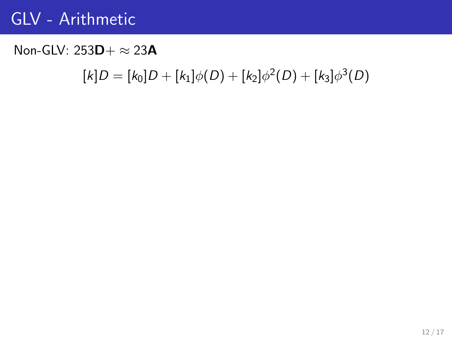### GLV - Arithmetic

#### Non-GLV:  $253D + \approx 23A$

 $[k]D = [k_0]D + [k_1]\phi(D) + [k_2]\phi^2(D) + [k_3]\phi^3(D)$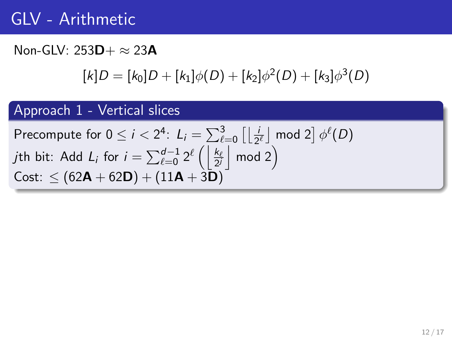### GLV - Arithmetic

#### Non-GLV:  $253D + \approx 23A$

$$
[k]D = [k_0]D + [k_1]\phi(D) + [k_2]\phi^2(D) + [k_3]\phi^3(D)
$$

### Approach 1 - Vertical slices

Precompute for 
$$
0 \le i < 2^4
$$
:  $L_i = \sum_{\ell=0}^3 \left[ \left\lfloor \frac{i}{2^{\ell}} \right\rfloor \mod 2 \right] \phi^{\ell}(D)$   
\n*j*th bit: Add  $L_i$  for  $i = \sum_{\ell=0}^{d-1} 2^{\ell} \left( \left\lfloor \frac{k_{\ell}}{2^j} \right\rfloor \mod 2 \right)$   
\nCost:  $\leq (62\mathbf{A} + 62\mathbf{D}) + (11\mathbf{A} + 3\mathbf{D})$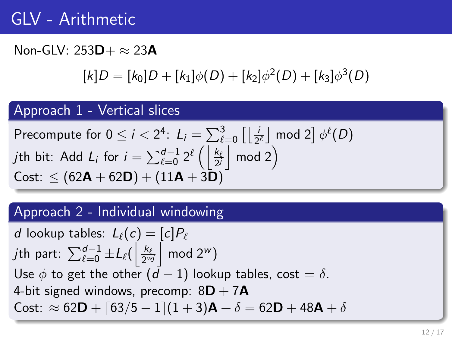### GLV - Arithmetic

#### Non-GLV:  $253D + \approx 23A$

$$
[k]D = [k_0]D + [k_1]\phi(D) + [k_2]\phi^2(D) + [k_3]\phi^3(D)
$$

#### Approach 1 - Vertical slices

Precompute for 
$$
0 \le i < 2^4
$$
:  $L_i = \sum_{\ell=0}^3 \left[ \left\lfloor \frac{i}{2^{\ell}} \right\rfloor \mod 2 \right] \phi^{\ell}(D)$   
\n*j*th bit: Add  $L_i$  for  $i = \sum_{\ell=0}^{d-1} 2^{\ell} \left( \left\lfloor \frac{k_{\ell}}{2^j} \right\rfloor \mod 2 \right)$   
\nCost:  $\leq (62\mathbf{A} + 62\mathbf{D}) + (11\mathbf{A} + 3\mathbf{D})$ 

#### Approach 2 - Individual windowing

d lookup tables:  $L_{\ell}(c) = [c]P_{\ell}$  $j$ th part:  $\sum_{\ell=0}^{d-1}\pm L_{\ell}(\left|\frac{k_{\ell}}{2^{w_{\ell}}}\right|$  $\frac{k_{\ell}}{2^{w_j}}\Big\vert$  mod  $2^w)$ Use  $\phi$  to get the other  $(d-1)$  lookup tables, cost =  $\delta$ . 4-bit signed windows, precomp:  $8D + 7A$ Cost: ≈ 62D +  $\lceil 63/5 - 1 \rceil(1 + 3)$ A +  $\delta$  = 62D + 48A +  $\delta$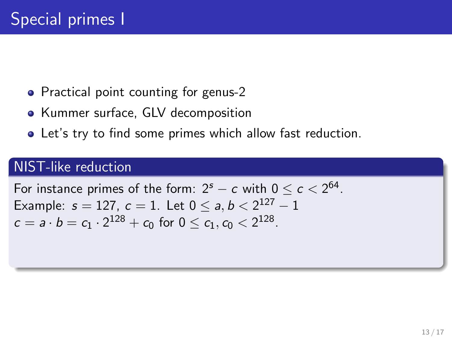- Practical point counting for genus-2
- Kummer surface, GLV decomposition
- Let's try to find some primes which allow fast reduction.

### NIST-like reduction

For instance primes of the form: 2 $^s-$  c with 0  $\leq$  c  $<$  2 $^{64}.$ Example:  $s = 127$ ,  $c = 1$ . Let  $0 \le a, b < 2^{127} - 1$  $c = a \cdot b = c_1 \cdot 2^{128} + c_0$  for  $0 \le c_1, c_0 < 2^{128}.$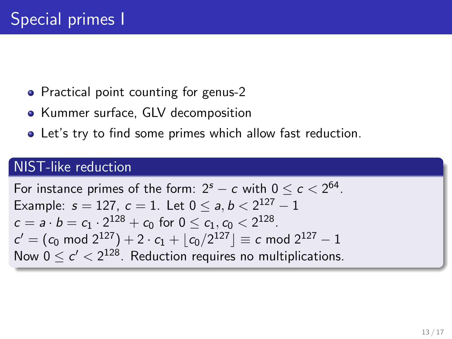- Practical point counting for genus-2
- Kummer surface, GLV decomposition
- Let's try to find some primes which allow fast reduction.

### NIST-like reduction

For instance primes of the form: 
$$
2^s - c
$$
 with  $0 \le c < 2^{64}$ .  
Example:  $s = 127$ ,  $c = 1$ . Let  $0 \le a, b < 2^{127} - 1$   
 $c = a \cdot b = c_1 \cdot 2^{128} + c_0$  for  $0 \le c_1, c_0 < 2^{128}$ .  
 $c' = (c_0 \mod 2^{127}) + 2 \cdot c_1 + \lfloor c_0/2^{127} \rfloor \equiv c \mod 2^{127} - 1$   
Now  $0 \le c' < 2^{128}$ . Reduction requires no multiplications.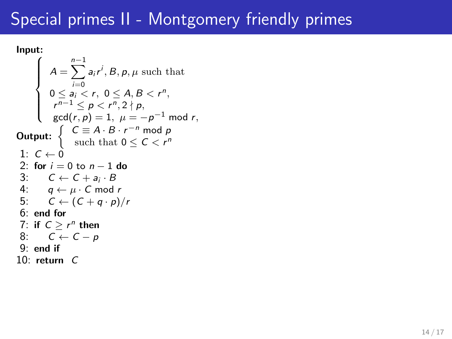Input:

```
\int\overline{\mathcal{L}}A =\sum^{n-1}i=0a_ir^i, B, p, \mu such that
            0 \le a_i < r, \ 0 \le A, B < r^n,r^{n-1} \leq p < r^n, 2 \nmid p\gcd(r, p) = 1, \, \, \mu = -p^{-1} \bmod{r},Output: \begin{cases} C \equiv A \cdot B \cdot r^{-n} \mod p \\ \text{such that } 0 \leq C \leq r^n \end{cases}such that 0 \leq C < r^n1: C \leftarrow 02: for i = 0 to n - 1 do
 3: C \leftarrow C + a_i \cdot B4: q \leftarrow \mu \cdot C \text{ mod } r5: C \leftarrow (C + q \cdot p)/r6: end for
 7: if C \geq r^n then
8: C \leftarrow C - p9: end if
10: return C
```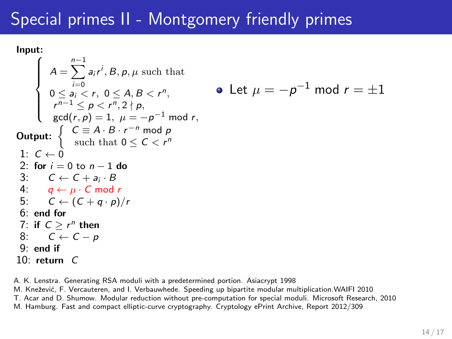Input:

$$
A = \sum_{i=0}^{n-1} a_i r^i, B, p, \mu \text{ such that}
$$
\n
$$
0 \le a_i < r, 0 \le A, B < r^n,
$$
\n
$$
r^{n-1} \le p < r^n, 2 \nmid p,
$$
\n
$$
\gcd(r, p) = 1, \mu = -p^{-1} \mod r,
$$
\n
$$
\text{Output: } \begin{cases} C \equiv A \cdot B \cdot r^{-n} \mod p \\ \text{such that } 0 \le C < r^n \end{cases}
$$
\n
$$
1: C \leftarrow 0
$$
\n
$$
2: \text{for } i = 0 \text{ to } n - 1 \text{ do}
$$
\n
$$
4: q \leftarrow \mu \cdot C \mod r
$$
\n
$$
5: C \leftarrow (C + q \cdot p)/r
$$
\n
$$
6: \text{end for}
$$
\n
$$
7: \text{if } C \ge r^n \text{ then}
$$
\n
$$
8: C \leftarrow C - p
$$
\n
$$
9: \text{end if}
$$
\n
$$
10: \text{return } C
$$

A. K. Lenstra. Generating RSA moduli with a predetermined portion. Asiacrypt 1998

M. Knežević, F. Vercauteren, and I. Verbauwhede. Speeding up bipartite modular multiplication.WAIFI 2010

T. Acar and D. Shumow. Modular reduction without pre-computation for special moduli. Microsoft Research, 2010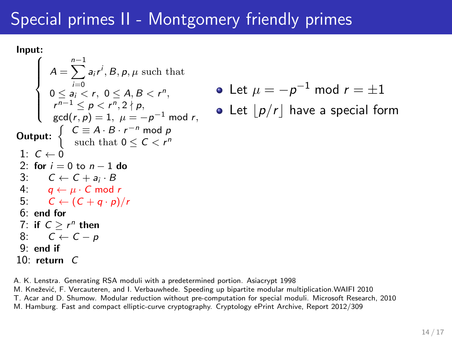Input:

 $\int$  $\overline{\mathcal{L}}$  $A =$  $\sum^{n-1}$  $i=0$  $a_ir^i, B, p, \mu$  such that  $0 \le a_i < r, \ 0 \le A, B < r^n,$  $r^{n-1} \leq p < r^n, 2 \nmid p$  $\gcd(r, p) = 1, \, \, \mu = -p^{-1} \bmod{r},$ Output:  $\begin{cases} C \equiv A \cdot B \cdot r^{-n} \mod p \\ \text{such that } 0 \leq C \leq r^n \end{cases}$ such that  $0 \leq C < r^n$ 1:  $C \leftarrow 0$ 2: for  $i = 0$  to  $n - 1$  do 3:  $C \leftarrow C + a_i \cdot B$ 4:  $a \leftarrow \mu \cdot C \mod r$ 5:  $C \leftarrow (C + a \cdot p)/r$ 6: end for 7: if  $C \geq r^n$  then 8:  $C \leftarrow C - p$ 9: end if 10: return C

- Let  $\mu=-\rho^{-1}$  mod  $r=\pm 1$
- Let  $|p/r|$  have a special form

A. K. Lenstra. Generating RSA moduli with a predetermined portion. Asiacrypt 1998

M. Kneˇzevi´c, F. Vercauteren, and I. Verbauwhede. Speeding up bipartite modular multiplication.WAIFI 2010

T. Acar and D. Shumow. Modular reduction without pre-computation for special moduli. Microsoft Research, 2010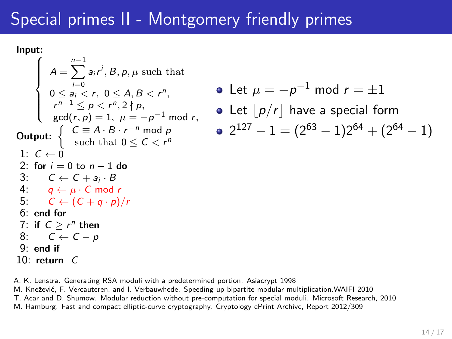Input:

 $\int$  $\overline{\mathcal{L}}$  $A =$  $\sum^{n-1}$  $i=0$  $a_ir^i, B, p, \mu$  such that  $0 \le a_i < r, \ 0 \le A, B < r^n,$  $r^{n-1} \leq p < r^n, 2 \nmid p$  $\gcd(r, p) = 1, \, \, \mu = -p^{-1} \bmod{r},$ Output:  $\begin{cases} C \equiv A \cdot B \cdot r^{-n} \bmod p \\ \text{such that } 0 \leq C \leq r^n \end{cases}$ such that  $0 \leq C < r^n$ 1:  $C \leftarrow 0$ 2: for  $i = 0$  to  $n - 1$  do 3:  $C \leftarrow C + a_i \cdot B$ 4:  $a \leftarrow \mu \cdot C \mod r$ 5:  $C \leftarrow (C + a \cdot p)/r$ 6: end for 7: if  $C \geq r^n$  then 8:  $C \leftarrow C - p$ 9: end if 10: return C

Let  $\mu=-\rho^{-1}$  mod  $r=\pm 1$ 

• Let 
$$
|p/r|
$$
 have a special form

$$
\bullet \ 2^{127} - 1 = (2^{63} - 1)2^{64} + (2^{64} - 1)
$$

A. K. Lenstra. Generating RSA moduli with a predetermined portion. Asiacrypt 1998

M. Kneˇzevi´c, F. Vercauteren, and I. Verbauwhede. Speeding up bipartite modular multiplication.WAIFI 2010

T. Acar and D. Shumow. Modular reduction without pre-computation for special moduli. Microsoft Research, 2010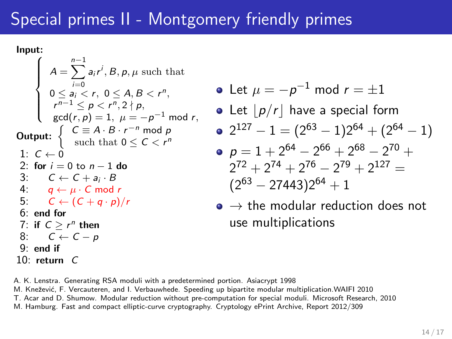Input:

 $\int$  $\overline{\mathcal{L}}$  $A =$  $\sum^{n-1}$  $i=0$  $a_ir^i, B, p, \mu$  such that  $0 \le a_i < r, \ 0 \le A, B < r^n,$  $r^{n-1} \leq p < r^n, 2 \nmid p$  $\gcd(r, p) = 1, \, \, \mu = -p^{-1} \bmod{r},$ Output:  $\begin{cases} C \equiv A \cdot B \cdot r^{-n} \bmod p \\ \text{such that } 0 \leq C \leq r^n \end{cases}$ such that  $0 \leq C < r^n$ 1:  $C \leftarrow 0$ 2: for  $i = 0$  to  $n - 1$  do 3:  $C \leftarrow C + a_i \cdot B$ 4:  $a \leftarrow \mu \cdot C \mod r$ 5:  $C \leftarrow (C + a \cdot p)/r$ 6: end for 7: if  $C \geq r^n$  then 8:  $C \leftarrow C - p$ 9: end if 10: return C

Let  $\mu=-\rho^{-1}$  mod  $r=\pm 1$ 

• Let 
$$
|p/r|
$$
 have a special form

$$
\bullet \ 2^{127} - 1 = (2^{63} - 1)2^{64} + (2^{64} - 1)
$$

• 
$$
p = 1 + 2^{64} - 2^{66} + 2^{68} - 2^{70} + 2^{72} + 2^{74} + 2^{76} - 2^{79} + 2^{127} =
$$
  
\n $(2^{63} - 27443)2^{64} + 1$ 

 $\bullet \rightarrow \bullet$  the modular reduction does not use multiplications

A. K. Lenstra. Generating RSA moduli with a predetermined portion. Asiacrypt 1998

M. Kneˇzevi´c, F. Vercauteren, and I. Verbauwhede. Speeding up bipartite modular multiplication.WAIFI 2010

T. Acar and D. Shumow. Modular reduction without pre-computation for special moduli. Microsoft Research, 2010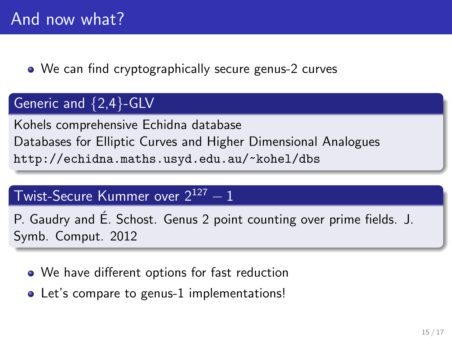We can find cryptographically secure genus-2 curves

### Generic and {2,4}-GLV

Kohels comprehensive Echidna database Databases for Elliptic Curves and Higher Dimensional Analogues <http://echidna.maths.usyd.edu.au/~kohel/dbs>

### Twist-Secure Kummer over 2<sup>127</sup> − 1

P. Gaudry and É. Schost. Genus 2 point counting over prime fields. J. Symb. Comput. 2012

- We have different options for fast reduction
- Let's compare to genus-1 implementations!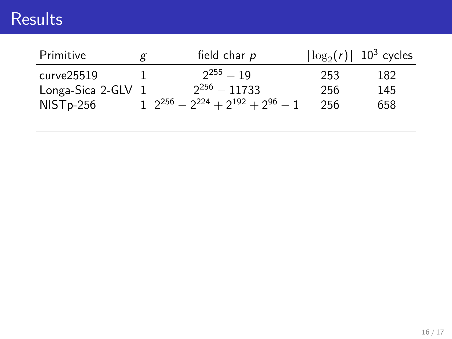| Primitive          | g | field char p                                   |     | $\lceil \log_2(r) \rceil$ 10 <sup>3</sup> cycles |
|--------------------|---|------------------------------------------------|-----|--------------------------------------------------|
| curve25519         |   | $2^{255} - 19$                                 | 253 | 182                                              |
| Longa-Sica 2-GLV 1 |   | $2^{256} - 11733$                              | 256 | 145                                              |
| $NISTp-256$        |   | $1^{2^{256}} - 2^{224} + 2^{192} + 2^{96} - 1$ | 256 | 658                                              |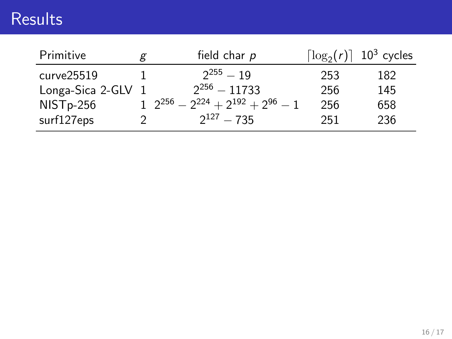| Primitive          | g | field char p                                   |     | $\lceil \log_2(r) \rceil$ 10 <sup>3</sup> cycles |
|--------------------|---|------------------------------------------------|-----|--------------------------------------------------|
| curve25519         |   | $2^{255} - 19$                                 | 253 | 182                                              |
| Longa-Sica 2-GLV 1 |   | $2^{256} - 11733$                              | 256 | 145                                              |
| $NISTp-256$        |   | $1^{2^{256}} - 2^{224} + 2^{192} + 2^{96} - 1$ | 256 | 658                                              |
| surf127eps         |   | $2^{127}$ – 735                                | 251 | 236                                              |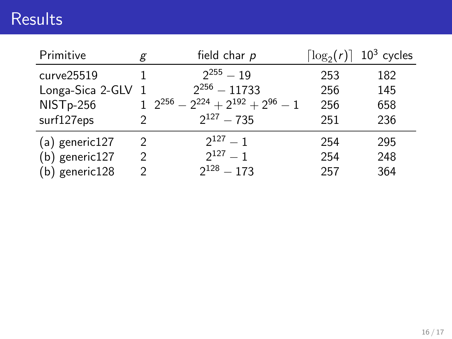| Primitive          | g             | field char $p$                             |     | $\lceil \log_2(r) \rceil$ 10 <sup>3</sup> cycles |
|--------------------|---------------|--------------------------------------------|-----|--------------------------------------------------|
| curve25519         |               | $2^{255} - 19$                             | 253 | 182                                              |
| Longa-Sica 2-GLV 1 |               | $2^{256} - 11733$                          | 256 | 145                                              |
| NISTp-256          |               | $2^{256} - 2^{224} + 2^{192} + 2^{96} - 1$ | 256 | 658                                              |
| surf127eps         | $\mathcal{D}$ | $2^{127} - 735$                            | 251 | 236                                              |
| (a) generic127     | $\mathcal{P}$ | $2^{127} - 1$                              | 254 | 295                                              |
| (b) generic127     | $\mathcal{P}$ | $2^{127} - 1$                              | 254 | 248                                              |
| (b) generic128     | 2             | $2^{128} - 173$                            | 257 | 364                                              |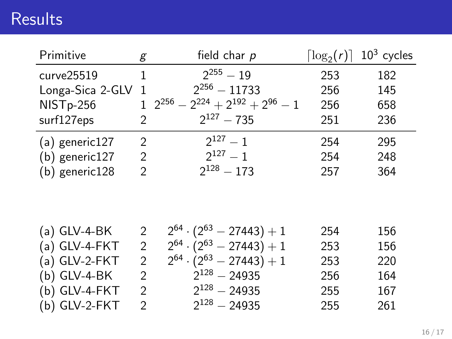| Primitive        | g | field char p                               |     | $\lceil \log_2(r) \rceil$ 10 <sup>3</sup> cycles |
|------------------|---|--------------------------------------------|-----|--------------------------------------------------|
| curve25519       |   | $2^{255} - 19$                             | 253 | 182                                              |
| Longa-Sica 2-GLV |   | $2^{256} - 11733$                          | 256 | 145                                              |
| NISTp-256        |   | $2^{256} - 2^{224} + 2^{192} + 2^{96} - 1$ | 256 | 658                                              |
| surf127eps       | 2 | $2^{127} - 735$                            | 251 | 236                                              |
| (a) generic127   | 2 | $2^{127} - 1$                              | 254 | 295                                              |
| (b) generic127   | 2 | $2^{127} - 1$                              | 254 | 248                                              |
| (b) generic128   | 2 | $2^{128} - 173$                            | 257 | 364                                              |

| (a) GLV-4-BK  |               | $2^{64} \cdot (2^{63} - 27443) + 1$ | 254 | 156 |
|---------------|---------------|-------------------------------------|-----|-----|
| (a) GLV-4-FKT |               | $2^{64} \cdot (2^{63} - 27443) + 1$ | 253 | 156 |
| (a) GLV-2-FKT |               | $2^{64} \cdot (2^{63} - 27443) + 1$ | 253 | 220 |
| (b) GLV-4-BK  | $\mathcal{P}$ | $2^{128} - 24935$                   | 256 | 164 |
| (b) GLV-4-FKT | 2             | $2^{128} - 24935$                   | 255 | 167 |
| (b) GLV-2-FKT | $\mathcal{D}$ | $2^{128}$ - 24935                   | 255 | 261 |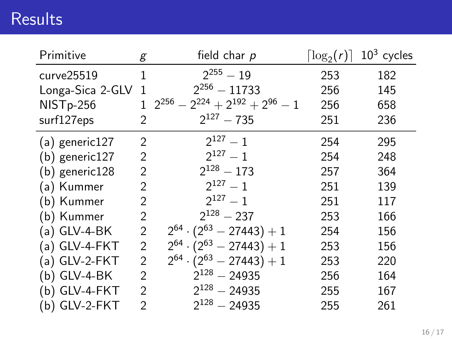| Primitive        | g              | field char p                               | $\log_2(r)$ | $103$ cycles |
|------------------|----------------|--------------------------------------------|-------------|--------------|
| curve25519       |                | $2^{255} - 19$                             | 253         | 182          |
| Longa-Sica 2-GLV | 1              | $2^{256} - 11733$                          | 256         | 145          |
| NISTp-256        |                | $2^{256} - 2^{224} + 2^{192} + 2^{96} - 1$ | 256         | 658          |
| surf127eps       | 2              | $2^{127} - 735$                            | 251         | 236          |
| $(a)$ generic127 | $\mathfrak{D}$ | $2^{127}-1$                                | 254         | 295          |
| (b) generic127   | 2              | $2^{127} - 1$                              | 254         | 248          |
| (b) generic128   | 2              | $2^{128} - 173$                            | 257         | 364          |
| (a) Kummer       | 2              | $2^{127} - 1$                              | 251         | 139          |
| (b) Kummer       | 2              | $2^{127}-1$                                | 251         | 117          |
| (b) Kummer       | 2              | $2^{128} - 237$                            | 253         | 166          |
| (a) GLV-4-BK     | 2              | $2^{64} \cdot (2^{63} - 27443) + 1$        | 254         | 156          |
| (a) GLV-4-FKT    | 2              | $2^{64} \cdot (2^{63} - 27443) + 1$        | 253         | 156          |
| (a) GLV-2-FKT    | 2              | $2^{64} \cdot (2^{63} - 27443) + 1$        | 253         | 220          |
| (b) GLV-4-BK     | 2              | $2^{128} - 24935$                          | 256         | 164          |
| (b) GLV-4-FKT    | 2              | $2^{128} - 24935$                          | 255         | 167          |
| (b) GLV-2-FKT    | 2              | $2^{128} - 24935$                          | 255         | 261          |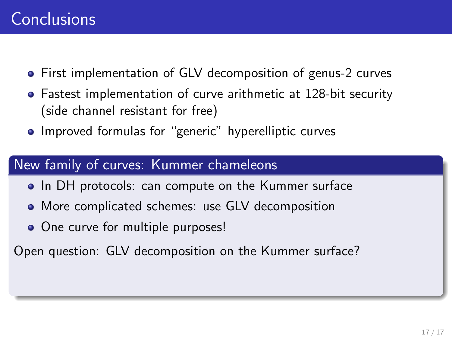### **Conclusions**

- First implementation of GLV decomposition of genus-2 curves
- Fastest implementation of curve arithmetic at 128-bit security (side channel resistant for free)
- **•** Improved formulas for "generic" hyperelliptic curves

#### New family of curves: Kummer chameleons

- In DH protocols: can compute on the Kummer surface
- More complicated schemes: use GLV decomposition
- One curve for multiple purposes!

Open question: GLV decomposition on the Kummer surface?